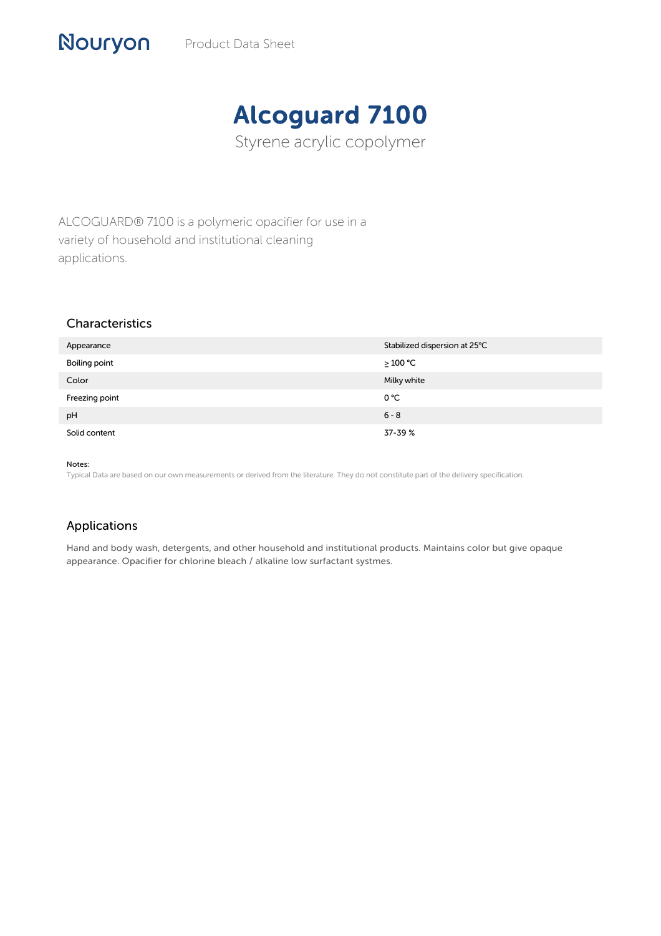## Alcoguard 7100

Styrene acrylic copolymer

ALCOGUARD® 7100 is a polymeric opacifier for use in a variety of household and institutional cleaning applications.

## Characteristics

Nouryon

| Appearance     | Stabilized dispersion at 25°C |
|----------------|-------------------------------|
| Boiling point  | $\geq 100$ °C                 |
| Color          | Milky white                   |
| Freezing point | 0 °C                          |
| pH             | $6 - 8$                       |
| Solid content  | 37-39 %                       |

Notes:

Typical Data are based on our own measurements or derived from the literature. They do not constitute part of the delivery specification.

## Applications

Hand and body wash, detergents, and other household and institutional products. Maintains color but give opaque appearance. Opacifier for chlorine bleach / alkaline low surfactant systmes.